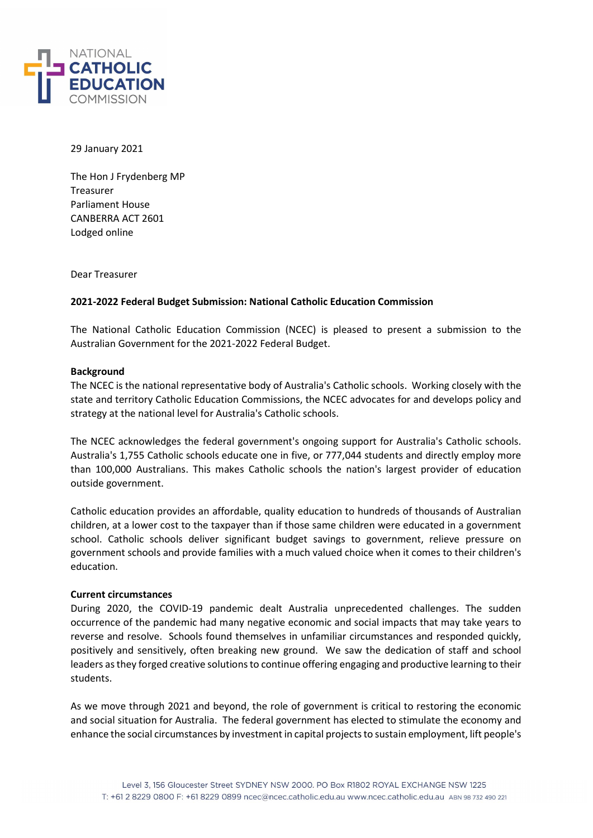

29 January 2021

The Hon J Frydenberg MP Treasurer Parliament House CANBERRA ACT 2601 Lodged online

Dear Treasurer

## 2021-2022 Federal Budget Submission: National Catholic Education Commission

The National Catholic Education Commission (NCEC) is pleased to present a submission to the Australian Government for the 2021-2022 Federal Budget.

## Background

The NCEC is the national representative body of Australia's Catholic schools. Working closely with the state and territory Catholic Education Commissions, the NCEC advocates for and develops policy and strategy at the national level for Australia's Catholic schools.

The NCEC acknowledges the federal government's ongoing support for Australia's Catholic schools. Australia's 1,755 Catholic schools educate one in five, or 777,044 students and directly employ more than 100,000 Australians. This makes Catholic schools the nation's largest provider of education outside government.

Catholic education provides an affordable, quality education to hundreds of thousands of Australian children, at a lower cost to the taxpayer than if those same children were educated in a government school. Catholic schools deliver significant budget savings to government, relieve pressure on government schools and provide families with a much valued choice when it comes to their children's education.

## Current circumstances

During 2020, the COVID-19 pandemic dealt Australia unprecedented challenges. The sudden occurrence of the pandemic had many negative economic and social impacts that may take years to reverse and resolve. Schools found themselves in unfamiliar circumstances and responded quickly, positively and sensitively, often breaking new ground. We saw the dedication of staff and school leaders as they forged creative solutions to continue offering engaging and productive learning to their students.

As we move through 2021 and beyond, the role of government is critical to restoring the economic and social situation for Australia. The federal government has elected to stimulate the economy and enhance the social circumstances by investment in capital projects to sustain employment, lift people's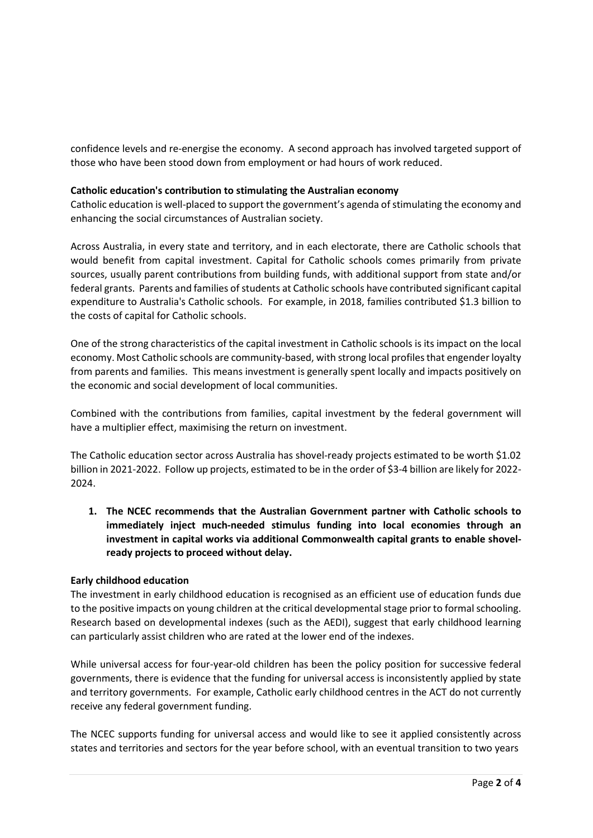confidence levels and re-energise the economy. A second approach has involved targeted support of those who have been stood down from employment or had hours of work reduced.

## Catholic education's contribution to stimulating the Australian economy

Catholic education is well-placed to support the government's agenda of stimulating the economy and enhancing the social circumstances of Australian society.

Across Australia, in every state and territory, and in each electorate, there are Catholic schools that would benefit from capital investment. Capital for Catholic schools comes primarily from private sources, usually parent contributions from building funds, with additional support from state and/or federal grants. Parents and families of students at Catholic schools have contributed significant capital expenditure to Australia's Catholic schools. For example, in 2018, families contributed \$1.3 billion to the costs of capital for Catholic schools.

One of the strong characteristics of the capital investment in Catholic schools is its impact on the local economy. Most Catholic schools are community-based, with strong local profiles that engender loyalty from parents and families. This means investment is generally spent locally and impacts positively on the economic and social development of local communities.

Combined with the contributions from families, capital investment by the federal government will have a multiplier effect, maximising the return on investment.

The Catholic education sector across Australia has shovel-ready projects estimated to be worth \$1.02 billion in 2021-2022. Follow up projects, estimated to be in the order of \$3-4 billion are likely for 2022-2024.

1. The NCEC recommends that the Australian Government partner with Catholic schools to immediately inject much-needed stimulus funding into local economies through an investment in capital works via additional Commonwealth capital grants to enable shovelready projects to proceed without delay.

# Early childhood education

The investment in early childhood education is recognised as an efficient use of education funds due to the positive impacts on young children at the critical developmental stage prior to formal schooling. Research based on developmental indexes (such as the AEDI), suggest that early childhood learning can particularly assist children who are rated at the lower end of the indexes.

While universal access for four-year-old children has been the policy position for successive federal governments, there is evidence that the funding for universal access is inconsistently applied by state and territory governments. For example, Catholic early childhood centres in the ACT do not currently receive any federal government funding.

The NCEC supports funding for universal access and would like to see it applied consistently across states and territories and sectors for the year before school, with an eventual transition to two years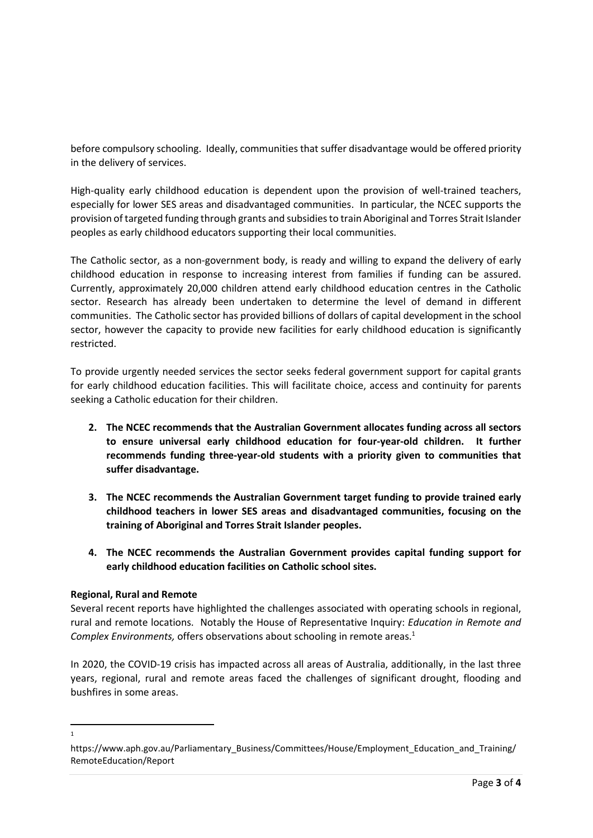before compulsory schooling. Ideally, communities that suffer disadvantage would be offered priority in the delivery of services.

High-quality early childhood education is dependent upon the provision of well-trained teachers, especially for lower SES areas and disadvantaged communities. In particular, the NCEC supports the provision of targeted funding through grants and subsidies to train Aboriginal and Torres Strait Islander peoples as early childhood educators supporting their local communities.

The Catholic sector, as a non-government body, is ready and willing to expand the delivery of early childhood education in response to increasing interest from families if funding can be assured. Currently, approximately 20,000 children attend early childhood education centres in the Catholic sector. Research has already been undertaken to determine the level of demand in different communities. The Catholic sector has provided billions of dollars of capital development in the school sector, however the capacity to provide new facilities for early childhood education is significantly restricted.

To provide urgently needed services the sector seeks federal government support for capital grants for early childhood education facilities. This will facilitate choice, access and continuity for parents seeking a Catholic education for their children.

- 2. The NCEC recommends that the Australian Government allocates funding across all sectors to ensure universal early childhood education for four-year-old children. It further recommends funding three-year-old students with a priority given to communities that suffer disadvantage.
- 3. The NCEC recommends the Australian Government target funding to provide trained early childhood teachers in lower SES areas and disadvantaged communities, focusing on the training of Aboriginal and Torres Strait Islander peoples.
- 4. The NCEC recommends the Australian Government provides capital funding support for early childhood education facilities on Catholic school sites.

# Regional, Rural and Remote

Several recent reports have highlighted the challenges associated with operating schools in regional, rural and remote locations. Notably the House of Representative Inquiry: Education in Remote and Complex Environments, offers observations about schooling in remote areas.<sup>1</sup>

In 2020, the COVID-19 crisis has impacted across all areas of Australia, additionally, in the last three years, regional, rural and remote areas faced the challenges of significant drought, flooding and bushfires in some areas.

1

https://www.aph.gov.au/Parliamentary\_Business/Committees/House/Employment\_Education\_and\_Training/ RemoteEducation/Report